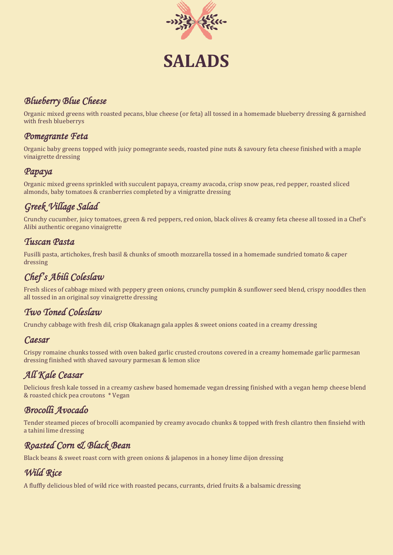

# **SALADS**

# *Blueberry Blue Cheese*

Organic mixed greens with roasted pecans, blue cheese (or feta) all tossed in a homemade blueberry dressing & garnished with fresh blueberrys

#### *Pomegrante Feta*

Organic baby greens topped with juicy pomegrante seeds, roasted pine nuts & savoury feta cheese finished with a maple vinaigrette dressing

#### *Papaya*

Organic mixed greens sprinkled with succulent papaya, creamy avacoda, crisp snow peas, red pepper, roasted sliced almonds, baby tomatoes & cranberries completed by a vinigratte dressing

# *Greek Village Salad*

Crunchy cucumber, juicy tomatoes, green & red peppers, red onion, black olives & creamy feta cheese all tossed in a Chef's Alibi authentic oregano vinaigrette

#### *Tuscan Pasta*

Fusilli pasta, artichokes, fresh basil & chunks of smooth mozzarella tossed in a homemade sundried tomato & caper dressing

# *Chef's Abili Coleslaw*

Fresh slices of cabbage mixed with peppery green onions, crunchy pumpkin & sunflower seed blend, crispy nooddles then all tossed in an original soy vinaigrette dressing

## *Two Toned Coleslaw*

Crunchy cabbage with fresh dil, crisp Okakanagn gala apples & sweet onions coated in a creamy dressing

#### *Caesar*

Crispy romaine chunks tossed with oven baked garlic crusted croutons covered in a creamy homemade garlic parmesan dressing finished with shaved savoury parmesan & lemon slice

# *All Kale Ceasar*

Delicious fresh kale tossed in a creamy cashew based homemade vegan dressing finished with a vegan hemp cheese blend & roasted chick pea croutons \* Vegan

## *Brocolli Avocado*

Tender steamed pieces of brocolli acompanied by creamy avocado chunks & topped with fresh cilantro then finsiehd with a tahini lime dressing

## *Roasted Corn & Black Bean*

Black beans & sweet roast corn with green onions & jalapenos in a honey lime dijon dressing

## *Wild Rice*

A fluffly delicious bled of wild rice with roasted pecans, currants, dried fruits & a balsamic dressing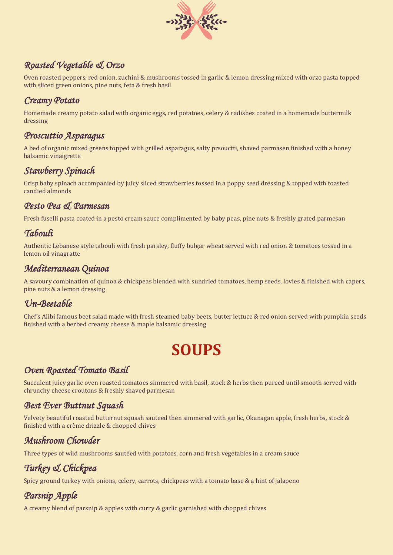

# *Roasted Vegetable & Orzo*

Oven roasted peppers, red onion, zuchini & mushrooms tossed in garlic & lemon dressing mixed with orzo pasta topped with sliced green onions, pine nuts, feta & fresh basil

#### *Creamy Potato*

Homemade creamy potato salad with organic eggs, red potatoes, celery & radishes coated in a homemade buttermilk dressing

#### *Proscuttio Asparagus*

A bed of organic mixed greens topped with grilled asparagus, salty prsouctti, shaved parmasen finished with a honey balsamic vinaigrette

### *Stawberry Spinach*

Crisp baby spinach accompanied by juicy sliced strawberries tossed in a poppy seed dressing & topped with toasted candied almonds

#### *Pesto Pea & Parmesan*

Fresh fuselli pasta coated in a pesto cream sauce complimented by baby peas, pine nuts & freshly grated parmesan

#### *Tabouli*

Authentic Lebanese style tabouli with fresh parsley, fluffy bulgar wheat served with red onion & tomatoes tossed in a lemon oil vinagratte

### *Mediterranean Quinoa*

A savoury combination of quinoa & chickpeas blended with sundried tomatoes, hemp seeds, lovies & finished with capers, pine nuts & a lemon dressing

## *Un-Beetable*

Chef's Alibi famous beet salad made with fresh steamed baby beets, butter lettuce & red onion served with pumpkin seeds finished with a herbed creamy cheese & maple balsamic dressing

# **SOUPS**

#### *Oven Roasted Tomato Basil*

Succulent juicy garlic oven roasted tomatoes simmered with basil, stock & herbs then pureed until smooth served with chrunchy cheese croutons & freshly shaved parmesan

#### *Best Ever Buttnut Squash*

Velvety beautiful roasted butternut squash sauteed then simmered with garlic, Okanagan apple, fresh herbs, stock & finished with a crème drizzle & chopped chives

## *Mushroom Chowder*

Three types of wild mushrooms sautéed with potatoes, corn and fresh vegetables in a cream sauce

# *Turkey & Chickpea*

Spicy ground turkey with onions, celery, carrots, chickpeas with a tomato base & a hint of jalapeno

# *Parsnip Apple*

A creamy blend of parsnip & apples with curry & garlic garnished with chopped chives